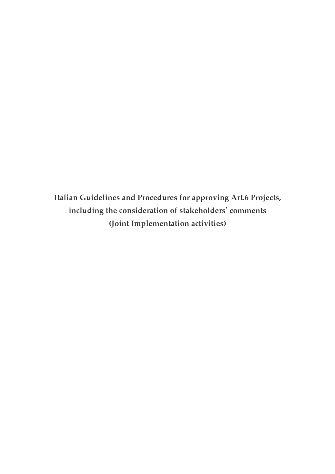**Italian Guidelines and Procedures for approving Art.6 Projects, including the consideration of stakeholders' comments (Joint Implementation activities)**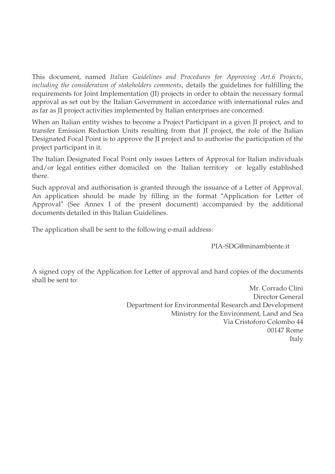This document, named *Italian Guidelines and Procedures for Approving Art.6 Projects, including the consideration of stakeholders comments,* details the guidelines for fulfilling the requirements for Joint Implementation (JI) projects in order to obtain the necessary formal approval as set out by the Italian Government in accordance with international rules and as far as JI project activities implemented by Italian enterprises are concerned.

When an Italian entity wishes to become a Project Participant in a given JI project, and to transfer Emission Reduction Units resulting from that JI project, the role of the Italian Designated Focal Point is to approve the JI project and to authorise the participation of the project participant in it.

The Italian Designated Focal Point only issues Letters of Approval for Italian individuals and/or legal entities either domiciled on the Italian territory or legally established there.

Such approval and authorisation is granted through the issuance of a Letter of Approval. An application should be made by filling in the format "Application for Letter of Approval" (See Annex I of the present document) accompanied by the additional documents detailed in this Italian Guidelines.

The application shall be sent to the following e-mail address:

PIA-SDG@minambiente.it

A signed copy of the Application for Letter of approval and hard copies of the documents shall be sent to:

> Mr. Corrado Clini Director General Department for Environmental Research and Development Ministry for the Environment, Land and Sea Via Cristoforo Colombo 44 00147 Rome Italy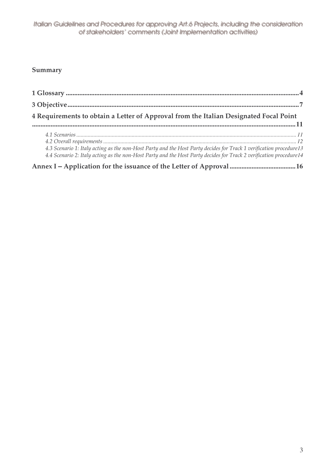## **Summary**

| 4 Requirements to obtain a Letter of Approval from the Italian Designated Focal Point                                                                                                                                                    |  |
|------------------------------------------------------------------------------------------------------------------------------------------------------------------------------------------------------------------------------------------|--|
| 4.3 Scenario 1: Italy acting as the non-Host Party and the Host Party decides for Track 1 verification procedure13<br>4.4 Scenario 2: Italy acting as the non-Host Party and the Host Party decides for Track 2 verification procedure14 |  |
|                                                                                                                                                                                                                                          |  |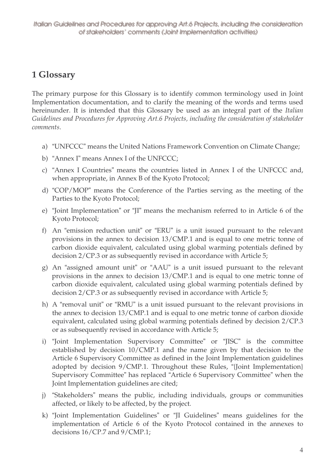# **1 Glossary**

The primary purpose for this Glossary is to identify common terminology used in Joint Implementation documentation, and to clarify the meaning of the words and terms used hereinunder. It is intended that this Glossary be used as an integral part of the *Italian Guidelines and Procedures for Approving Art.6 Projects, including the consideration of stakeholder comments*.

- a) "UNFCCC" means the United Nations Framework Convention on Climate Change;
- b) "Annex I" means Annex I of the UNFCCC;
- c) "Annex I Countries" means the countries listed in Annex I of the UNFCCC and, when appropriate, in Annex B of the Kyoto Protocol;
- d) "COP/MOP" means the Conference of the Parties serving as the meeting of the Parties to the Kyoto Protocol;
- e) "Joint Implementation" or "JI" means the mechanism referred to in Article 6 of the Kyoto Protocol;
- f) An "emission reduction unit" or "ERU" is a unit issued pursuant to the relevant provisions in the annex to decision 13/CMP.1 and is equal to one metric tonne of carbon dioxide equivalent, calculated using global warming potentials defined by decision 2/CP.3 or as subsequently revised in accordance with Article 5;
- g) An "assigned amount unit" or "AAU" is a unit issued pursuant to the relevant provisions in the annex to decision 13/CMP.1 and is equal to one metric tonne of carbon dioxide equivalent, calculated using global warming potentials defined by decision 2/CP.3 or as subsequently revised in accordance with Article 5;
- h) A "removal unit" or "RMU" is a unit issued pursuant to the relevant provisions in the annex to decision 13/CMP.1 and is equal to one metric tonne of carbon dioxide equivalent, calculated using global warming potentials defined by decision 2/CP.3 or as subsequently revised in accordance with Article 5;
- i) "Joint Implementation Supervisory Committee" or "JISC" is the committee established by decision 10/CMP.1 and the name given by that decision to the Article 6 Supervisory Committee as defined in the Joint Implementation guidelines adopted by decision 9/CMP.1. Throughout these Rules, "{Joint Implementation} Supervisory Committee" has replaced "Article 6 Supervisory Committee" when the Joint Implementation guidelines are cited;
- j) "Stakeholders" means the public, including individuals, groups or communities affected, or likely to be affected, by the project.
- k) "Joint Implementation Guidelines" or "JI Guidelines" means guidelines for the implementation of Article 6 of the Kyoto Protocol contained in the annexes to decisions 16/CP.7 and 9/CMP.1;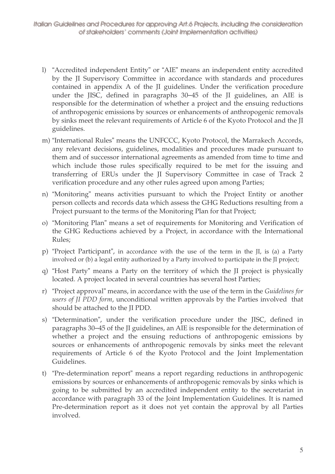- 1) "Accredited independent Entity" or "AIE" means an independent entity accredited by the JI Supervisory Committee in accordance with standards and procedures contained in appendix A of the JI guidelines. Under the verification procedure under the JISC, defined in paragraphs 30–45 of the JI guidelines, an AIE is responsible for the determination of whether a project and the ensuing reductions of anthropogenic emissions by sources or enhancements of anthropogenic removals by sinks meet the relevant requirements of Article 6 of the Kyoto Protocol and the JI guidelines.
- m) "International Rules" means the UNFCCC, Kyoto Protocol, the Marrakech Accords, any relevant decisions, guidelines, modalities and procedures made pursuant to them and of successor international agreements as amended from time to time and which include those rules specifically required to be met for the issuing and transferring of ERUs under the JI Supervisory Committee in case of Track 2 verification procedure and any other rules agreed upon among Parties;
- n) "Monitoring" means activities pursuant to which the Project Entity or another person collects and records data which assess the GHG Reductions resulting from a Project pursuant to the terms of the Monitoring Plan for that Project;
- o) "Monitoring Plan" means a set of requirements for Monitoring and Verification of the GHG Reductions achieved by a Project, in accordance with the International Rules;
- p) "Project Participant", in accordance with the use of the term in the JI, is (a) a Party involved or (b) a legal entity authorized by a Party involved to participate in the JI project;
- q) "Host Party" means a Party on the territory of which the JI project is physically located. A project located in several countries has several host Parties;
- r) "Project approval" means, in accordance with the use of the term in the Guidelines for users of JI PDD form, unconditional written approvals by the Parties involved that should be attached to the JI PDD.
- s) "Determination", under the verification procedure under the JISC, defined in paragraphs 30–45 of the JI guidelines, an AIE is responsible for the determination of whether a project and the ensuing reductions of anthropogenic emissions by sources or enhancements of anthropogenic removals by sinks meet the relevant requirements of Article 6 of the Kyoto Protocol and the Joint Implementation Guidelines.
- t) "Pre-determination report" means a report regarding reductions in anthropogenic emissions by sources or enhancements of anthropogenic removals by sinks which is going to be submitted by an accredited independent entity to the secretariat in accordance with paragraph 33 of the Joint Implementation Guidelines. It is named Pre-determination report as it does not yet contain the approval by all Parties involved.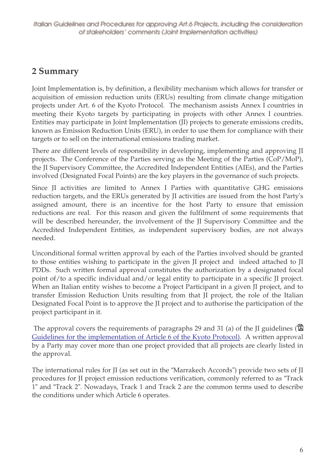## **2 Summary**

Joint Implementation is, by definition, a flexibility mechanism which allows for transfer or acquisition of emission reduction units (ERUs) resulting from climate change mitigation projects under Art. 6 of the Kyoto Protocol. The mechanism assists Annex I countries in meeting their Kyoto targets by participating in projects with other Annex I countries. Entities may participate in Joint Implementation (JI) projects to generate emissions credits, known as Emission Reduction Units (ERU), in order to use them for compliance with their targets or to sell on the international emissions trading market.

There are different levels of responsibility in developing, implementing and approving JI projects. The Conference of the Parties serving as the Meeting of the Parties (CoP/MoP), the JI Supervisory Committee, the Accredited Independent Entities (AIEs), and the Parties involved (Designated Focal Points) are the key players in the governance of such projects.

Since JI activities are limited to Annex I Parties with quantitative GHG emissions reduction targets, and the ERUs generated by JI activities are issued from the host Party's assigned amount, there is an incentive for the host Party to ensure that emission reductions are real. For this reason and given the fulfilment of some requirements that will be described hereunder, the involvement of the JI Supervisory Committee and the Accredited Independent Entities, as independent supervisory bodies, are not always needed.

Unconditional formal written approval by each of the Parties involved should be granted to those entities wishing to participate in the given JI project and indeed attached to JI PDDs. Such written formal approval constitutes the authorization by a designated focal point of/to a specific individual and/or legal entity to participate in a specific JI project. When an Italian entity wishes to become a Project Participant in a given JI project, and to transfer Emission Reduction Units resulting from that JI project, the role of the Italian Designated Focal Point is to approve the JI project and to authorise the participation of the project participant in it.

The approval covers the requirements of paragraphs 29 and 31 (a) of the JI guidelines ( $\vec{E}$ ) Guidelines for the implementation of Article 6 of the Kyoto Protocol). A written approval by a Party may cover more than one project provided that all projects are clearly listed in the approval.

The international rules for JI (as set out in the "Marrakech Accords") provide two sets of JI procedures for JI project emission reductions verification, commonly referred to as "Track 1" and "Track 2". Nowadays, Track 1 and Track 2 are the common terms used to describe the conditions under which Article 6 operates.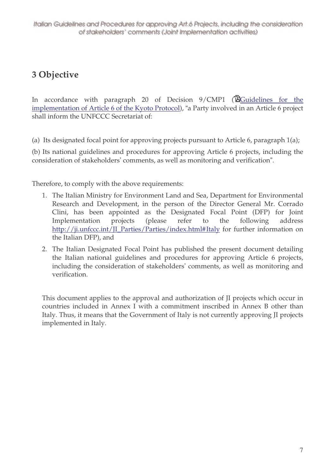# **3 Objective**

In accordance with paragraph 20 of Decision  $9/CMP1$  ( $\overline{\mathbb{Q}}$ Guidelines for the implementation of Article 6 of the Kyoto Protocol), "a Party involved in an Article 6 project shall inform the UNFCCC Secretariat of:

(a) Its designated focal point for approving projects pursuant to Article 6, paragraph 1(a);

(b) Its national guidelines and procedures for approving Article 6 projects, including the consideration of stakeholders' comments, as well as monitoring and verification".

Therefore, to comply with the above requirements:

- 1. The Italian Ministry for Environment Land and Sea, Department for Environmental Research and Development, in the person of the Director General Mr. Corrado Clini, has been appointed as the Designated Focal Point (DFP) for Joint Implementation projects (please refer to the following address http://ji.unfccc.int/JI\_Parties/Parties/index.html#Italy for further information on the Italian DFP), and
- 2. The Italian Designated Focal Point has published the present document detailing the Italian national guidelines and procedures for approving Article 6 projects, including the consideration of stakeholders' comments, as well as monitoring and verification.

This document applies to the approval and authorization of JI projects which occur in countries included in Annex I with a commitment inscribed in Annex B other than Italy. Thus, it means that the Government of Italy is not currently approving JI projects implemented in Italy.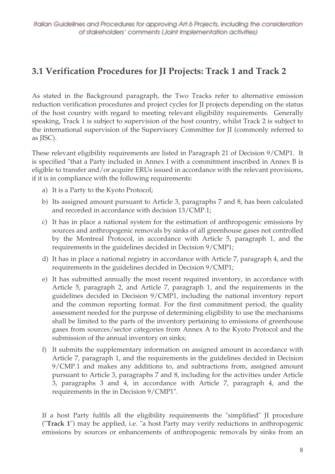# 3.1 Verification Procedures for JI Projects: Track 1 and Track 2

As stated in the Background paragraph, the Two Tracks refer to alternative emission reduction verification procedures and project cycles for JI projects depending on the status of the host country with regard to meeting relevant eligibility requirements. Generally speaking, Track 1 is subject to supervision of the host country, whilst Track 2 is subject to the international supervision of the Supervisory Committee for JI (commonly referred to as JISC).

These relevant eligibility requirements are listed in Paragraph 21 of Decision 9/CMP1. It is specified "that a Party included in Annex I with a commitment inscribed in Annex B is eligible to transfer and/or acquire ERUs issued in accordance with the relevant provisions, if it is in compliance with the following requirements:

- a) It is a Party to the Kyoto Protocol;
- b) Its assigned amount pursuant to Article 3, paragraphs 7 and 8, has been calculated and recorded in accordance with decision 13/CMP.1;
- c) It has in place a national system for the estimation of anthropogenic emissions by sources and anthropogenic removals by sinks of all greenhouse gases not controlled by the Montreal Protocol, in accordance with Article 5, paragraph 1, and the requirements in the guidelines decided in Decision 9/CMP1;
- d) It has in place a national registry in accordance with Article 7, paragraph 4, and the requirements in the guidelines decided in Decision 9/CMP1;
- e) It has submitted annually the most recent required inventory, in accordance with Article 5, paragraph 2, and Article 7, paragraph 1, and the requirements in the guidelines decided in Decision 9/CMP1, including the national inventory report and the common reporting format. For the first commitment period, the quality assessment needed for the purpose of determining eligibility to use the mechanisms shall be limited to the parts of the inventory pertaining to emissions of greenhouse gases from sources/sector categories from Annex A to the Kyoto Protocol and the submission of the annual inventory on sinks;
- f) It submits the supplementary information on assigned amount in accordance with Article 7, paragraph 1, and the requirements in the guidelines decided in Decision 9/CMP.1 and makes any additions to, and subtractions from, assigned amount pursuant to Article 3, paragraphs 7 and 8, including for the activities under Article 3, paragraphs 3 and 4, in accordance with Article 7, paragraph 4, and the requirements in the in Decision 9/CMP1".

If a host Party fulfils all the eligibility requirements the "simplified" JI procedure ("Track 1") may be applied, i.e. "a host Party may verify reductions in anthropogenic emissions by sources or enhancements of anthropogenic removals by sinks from an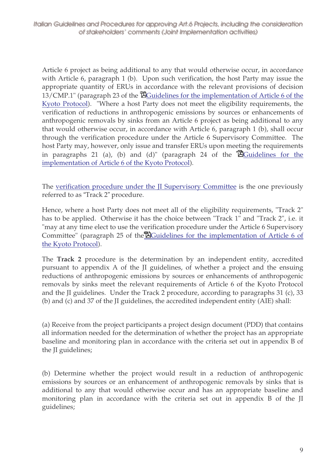Article 6 project as being additional to any that would otherwise occur, in accordance with Article 6, paragraph 1 (b). Upon such verification, the host Party may issue the appropriate quantity of ERUs in accordance with the relevant provisions of decision  $13/CMP.1$ " (paragraph 23 of the  $\mathbb{E}$ Guidelines for the implementation of Article 6 of the Kyoto Protocol). "Where a host Party does not meet the eligibility requirements, the verification of reductions in anthropogenic emissions by sources or enhancements of anthropogenic removals by sinks from an Article 6 project as being additional to any that would otherwise occur, in accordance with Article 6, paragraph 1 (b), shall occur through the verification procedure under the Article 6 Supervisory Committee. The host Party may, however, only issue and transfer ERUs upon meeting the requirements in paragraphs 21 (a), (b) and (d)" (paragraph 24 of the  $\mathbb{\mathbb{\tilde{B}}}$  Guidelines for the implementation of Article 6 of the Kyoto Protocol).

The verification procedure under the JI Supervisory Committee is the one previously referred to as "Track 2" procedure.

Hence, where a host Party does not meet all of the eligibility requirements, "Track 2" has to be applied. Otherwise it has the choice between "Track 1" and "Track 2", i.e. it "may at any time elect to use the verification procedure under the Article 6 Supervisory Committee" (paragraph 25 of the EGuidelines for the implementation of Article 6 of the Kyoto Protocol).

The **Track 2** procedure is the determination by an independent entity, accredited pursuant to appendix A of the JI guidelines, of whether a project and the ensuing reductions of anthropogenic emissions by sources or enhancements of anthropogenic removals by sinks meet the relevant requirements of Article 6 of the Kyoto Protocol and the JI guidelines. Under the Track 2 procedure, according to paragraphs 31 (c), 33 (b) and (c) and 37 of the JI guidelines, the accredited independent entity (AIE) shall:

(a) Receive from the project participants a project design document (PDD) that contains all information needed for the determination of whether the project has an appropriate baseline and monitoring plan in accordance with the criteria set out in appendix B of the JI guidelines;

(b) Determine whether the project would result in a reduction of anthropogenic emissions by sources or an enhancement of anthropogenic removals by sinks that is additional to any that would otherwise occur and has an appropriate baseline and monitoring plan in accordance with the criteria set out in appendix B of the JI guidelines;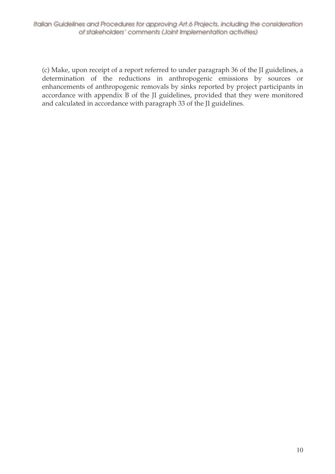(c) Make, upon receipt of a report referred to under paragraph 36 of the JI guidelines, a determination of the reductions in anthropogenic emissions by sources or enhancements of anthropogenic removals by sinks reported by project participants in accordance with appendix B of the JI guidelines, provided that they were monitored and calculated in accordance with paragraph 33 of the JI guidelines.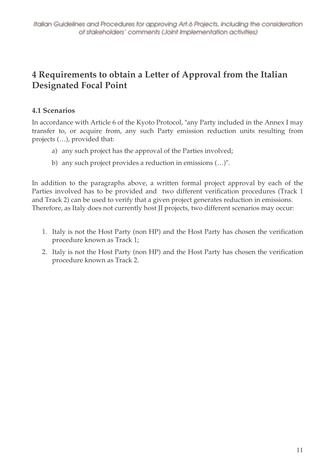## 4 Requirements to obtain a Letter of Approval from the Italian **Designated Focal Point**

## **4.1 Scenarios**

In accordance with Article 6 of the Kyoto Protocol, "any Party included in the Annex I may transfer to, or acquire from, any such Party emission reduction units resulting from projects (...), provided that:

- a) any such project has the approval of the Parties involved;
- b) any such project provides a reduction in emissions (...)".

In addition to the paragraphs above, a written formal project approval by each of the Parties involved has to be provided and two different verification procedures (Track 1 and Track 2) can be used to verify that a given project generates reduction in emissions. Therefore, as Italy does not currently host JI projects, two different scenarios may occur:

- 1. Italy is not the Host Party (non HP) and the Host Party has chosen the verification procedure known as Track 1;
- 2. Italy is not the Host Party (non HP) and the Host Party has chosen the verification procedure known as Track 2.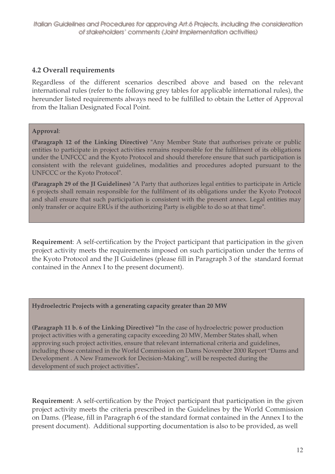## **4.2 Overall requirements**

Regardless of the different scenarios described above and based on the relevant international rules (refer to the following grey tables for applicable international rules), the hereunder listed requirements always need to be fulfilled to obtain the Letter of Approval from the Italian Designated Focal Point.

#### **Approval**:

**(Paragraph 12 of the Linking Directive)** "Any Member State that authorises private or public entities to participate in project activities remains responsible for the fulfilment of its obligations under the UNFCCC and the Kyoto Protocol and should therefore ensure that such participation is consistent with the relevant guidelines, modalities and procedures adopted pursuant to the UNFCCC or the Kyoto Protocol".

**(Paragraph 29 of the JI Guidelines)** "A Party that authorizes legal entities to participate in Article 6 projects shall remain responsible for the fulfilment of its obligations under the Kyoto Protocol and shall ensure that such participation is consistent with the present annex. Legal entities may only transfer or acquire ERUs if the authorizing Party is eligible to do so at that time".

**Requirement**: A self-certification by the Project participant that participation in the given project activity meets the requirements imposed on such participation under the terms of the Kyoto Protocol and the JI Guidelines (please fill in Paragraph 3 of the standard format contained in the Annex I to the present document).

#### **Hydroelectric Projects with a generating capacity greater than 20 MW**

**(Paragraph 11 b. 6 of the Linking Directive) "**In the case of hydroelectric power production project activities with a generating capacity exceeding 20 MW, Member States shall, when approving such project activities, ensure that relevant international criteria and guidelines, including those contained in the World Commission on Dams November 2000 Report "Dams and Development . A New Framework for Decision-Making", will be respected during the development of such project activities"**.**

**Requirement**: A self-certification by the Project participant that participation in the given project activity meets the criteria prescribed in the Guidelines by the World Commission on Dams. (Please, fill in Paragraph 6 of the standard format contained in the Annex I to the present document). Additional supporting documentation is also to be provided, as well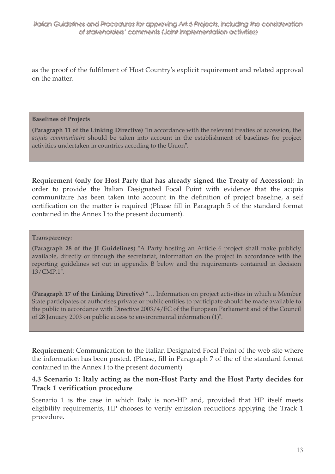as the proof of the fulfilment of Host Country's explicit requirement and related approval on the matter.

#### **Baselines of Projects**

**(Paragraph 11 of the Linking Directive)** "In accordance with the relevant treaties of accession, the *acquis communitaire* should be taken into account in the establishment of baselines for project activities undertaken in countries acceding to the Union".

**Requirement (only for Host Party that has already signed the Treaty of Accession)**: In order to provide the Italian Designated Focal Point with evidence that the acquis communitaire has been taken into account in the definition of project baseline, a self certification on the matter is required (Please fill in Paragraph 5 of the standard format contained in the Annex I to the present document).

#### **Transparency:**

**(Paragraph 28 of the JI Guidelines**) "A Party hosting an Article 6 project shall make publicly available, directly or through the secretariat, information on the project in accordance with the reporting guidelines set out in appendix B below and the requirements contained in decision 13/CMP.1".

**(Paragraph 17 of the Linking Directive)** "… Information on project activities in which a Member State participates or authorises private or public entities to participate should be made available to the public in accordance with Directive 2003/4/EC of the European Parliament and of the Council of 28 January 2003 on public access to environmental information (1)".

**Requirement**: Communication to the Italian Designated Focal Point of the web site where the information has been posted. (Please, fill in Paragraph 7 of the of the standard format contained in the Annex I to the present document)

### **4.3 Scenario 1: Italy acting as the non-Host Party and the Host Party decides for Track 1 verification procedure**

Scenario 1 is the case in which Italy is non-HP and, provided that HP itself meets eligibility requirements, HP chooses to verify emission reductions applying the Track 1 procedure.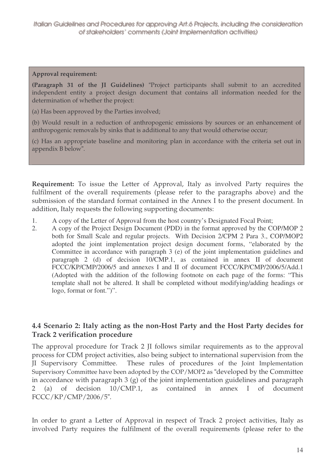#### **Approval requirement:**

**(Paragraph 31 of the JI Guidelines)** "Project participants shall submit to an accredited independent entity a project design document that contains all information needed for the determination of whether the project:

(a) Has been approved by the Parties involved;

(b) Would result in a reduction of anthropogenic emissions by sources or an enhancement of anthropogenic removals by sinks that is additional to any that would otherwise occur;

(c) Has an appropriate baseline and monitoring plan in accordance with the criteria set out in appendix B below".

**Requirement:** To issue the Letter of Approval, Italy as involved Party requires the fulfilment of the overall requirements (please refer to the paragraphs above) and the submission of the standard format contained in the Annex I to the present document. In addition, Italy requests the following supporting documents:

- 1. A copy of the Letter of Approval from the host country's Designated Focal Point;
- 2. A copy of the Project Design Document (PDD) in the format approved by the COP/MOP 2 both for Small Scale and regular projects. With Decision 2/CPM 2 Para 3., COP/MOP2 adopted the joint implementation project design document forms, "elaborated by the Committee in accordance with paragraph 3 (e) of the joint implementation guidelines and paragraph 2 (d) of decision 10/CMP.1, as contained in annex II of document FCCC/KP/CMP/2006/5 and annexes I and II of document FCCC/KP/CMP/2006/5/Add.1 (Adopted with the addition of the following footnote on each page of the forms: "This template shall not be altered. It shall be completed without modifying/adding headings or logo, format or font.")".

### **4.4 Scenario 2: Italy acting as the non-Host Party and the Host Party decides for Track 2 verification procedure**

The approval procedure for Track 2 JI follows similar requirements as to the approval process for CDM project activities, also being subject to international supervision from the JI Supervisory Committee. These rules of procedures of the Joint Implementation Supervisory Committee have been adopted by the COP/MOP2 as "developed by the Committee in accordance with paragraph  $3$  (g) of the joint implementation guidelines and paragraph 2 (a) of decision 10/CMP.1, as contained in annex I of document FCCC/KP/CMP/2006/5".

In order to grant a Letter of Approval in respect of Track 2 project activities, Italy as involved Party requires the fulfilment of the overall requirements (please refer to the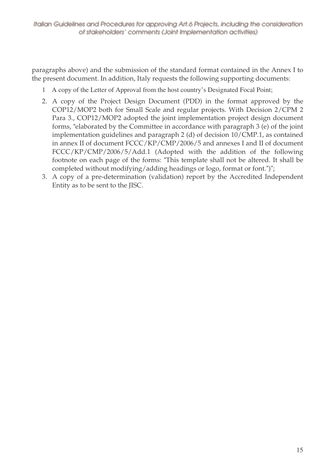paragraphs above) and the submission of the standard format contained in the Annex I to the present document. In addition, Italy requests the following supporting documents:

- 1 A copy of the Letter of Approval from the host country's Designated Focal Point;
- 2. A copy of the Project Design Document (PDD) in the format approved by the COP12/MOP2 both for Small Scale and regular projects. With Decision 2/CPM 2 Para 3., COP12/MOP2 adopted the joint implementation project design document forms, "elaborated by the Committee in accordance with paragraph 3 (e) of the joint implementation guidelines and paragraph 2 (d) of decision 10/CMP.1, as contained in annex II of document FCCC/KP/CMP/2006/5 and annexes I and II of document FCCC/KP/CMP/2006/5/Add.1 (Adopted with the addition of the following footnote on each page of the forms: "This template shall not be altered. It shall be completed without modifying/adding headings or logo, format or font.")";
- 3. A copy of a pre-determination (validation) report by the Accredited Independent Entity as to be sent to the JISC.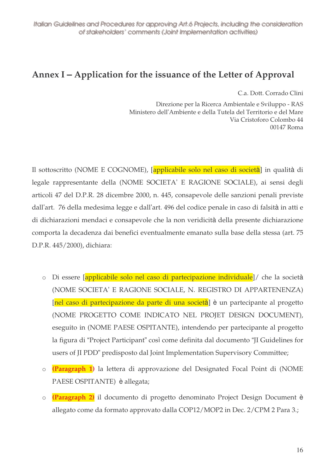# **Annex I – Application for the issuance of the Letter of Approval**

C.a. Dott. Corrado Clini

Direzione per la Ricerca Ambientale e Sviluppo - RAS Ministero dell'Ambiente e della Tutela del Territorio e del Mare Via Cristoforo Colombo 44 00147 Roma

Il sottoscritto (NOME E COGNOME), [applicabile solo nel caso di società] in qualità di legale rappresentante della (NOME SOCIETA' E RAGIONE SOCIALE), ai sensi degli articoli 47 del D.P.R. 28 dicembre 2000, n. 445, consapevole delle sanzioni penali previste dall'art. 76 della medesima legge e dall'art. 496 del codice penale in caso di falsità in atti e di dichiarazioni mendaci e consapevole che la non veridicità della presente dichiarazione comporta la decadenza dai benefici eventualmente emanato sulla base della stessa (art. 75 D.P.R. 445/2000), dichiara:

- o Di essere [applicabile solo nel caso di partecipazione individuale]/ che la società (NOME SOCIETA' E RAGIONE SOCIALE, N. REGISTRO DI APPARTENENZA) [nel caso di partecipazione da parte di una società] è un partecipante al progetto (NOME PROGETTO COME INDICATO NEL PROJET DESIGN DOCUMENT), eseguito in (NOME PAESE OSPITANTE), intendendo per partecipante al progetto la figura di "Project Participant" così come definita dal documento "JI Guidelines for users of JI PDD" predisposto dal Joint Implementation Supervisory Committee;
- o **(Paragraph 1)** la lettera di approvazione del Designated Focal Point di (NOME PAESE OSPITANTE) è allegata;
- o **(Paragraph 2)** il documento di progetto denominato Project Design Document è allegato come da formato approvato dalla COP12/MOP2 in Dec. 2/CPM 2 Para 3.;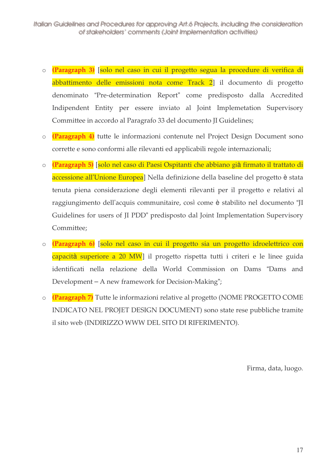- o (Paragraph 3) [solo nel caso in cui il progetto segua la procedure di verifica di abbattimento delle emissioni nota come Track 2] il documento di progetto denominato "Pre-determination Report" come predisposto dalla Accredited Indipendent Entity per essere inviato al Joint Implemetation Supervisory Committee in accordo al Paragrafo 33 del documento II Guidelines;
- o (Paragraph 4) tutte le informazioni contenute nel Project Design Document sono corrette e sono conformi alle rilevanti ed applicabili regole internazionali;
- o (Paragraph 5) [solo nel caso di Paesi Ospitanti che abbiano già firmato il trattato di accessione all'Unione Europea<sup>]</sup> Nella definizione della baseline del progetto è stata tenuta piena considerazione degli elementi rilevanti per il progetto e relativi al raggiungimento dell'acquis communitaire, così come è stabilito nel documento "JI Guidelines for users of JI PDD" predisposto dal Joint Implementation Supervisory Committee;
- o (Paragraph 6) [solo nel caso in cui il progetto sia un progetto idroelettrico con capacità superiore a 20 MW il progetto rispetta tutti i criteri e le linee guida identificati nella relazione della World Commission on Dams "Dams and Development – A new framework for Decision-Making";
- o (Paragraph 7) Tutte le informazioni relative al progetto (NOME PROGETTO COME INDICATO NEL PROJET DESIGN DOCUMENT) sono state rese pubbliche tramite il sito web (INDIRIZZO WWW DEL SITO DI RIFERIMENTO).

Firma, data, luogo.